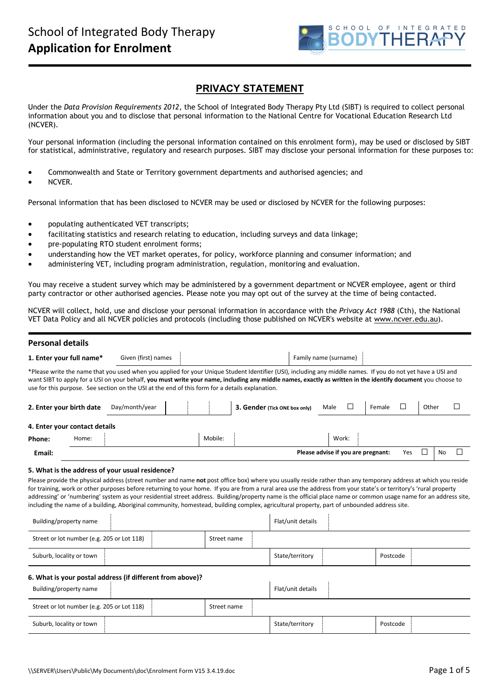

# **PRIVACY STATEMENT**

Under the *Data Provision Requirements 2012*, the School of Integrated Body Therapy Pty Ltd (SIBT) is required to collect personal information about you and to disclose that personal information to the National Centre for Vocational Education Research Ltd (NCVER).

Your personal information (including the personal information contained on this enrolment form), may be used or disclosed by SIBT for statistical, administrative, regulatory and research purposes. SIBT may disclose your personal information for these purposes to:

- Commonwealth and State or Territory government departments and authorised agencies; and
- NCVER.

Personal information that has been disclosed to NCVER may be used or disclosed by NCVER for the following purposes:

- populating authenticated VET transcripts;
- facilitating statistics and research relating to education, including surveys and data linkage;
- pre-populating RTO student enrolment forms;
- understanding how the VET market operates, for policy, workforce planning and consumer information; and
- administering VET, including program administration, regulation, monitoring and evaluation.

You may receive a student survey which may be administered by a government department or NCVER employee, agent or third party contractor or other authorised agencies. Please note you may opt out of the survey at the time of being contacted.

NCVER will collect, hold, use and disclose your personal information in accordance with the *Privacy Act* 1988 (Cth), the National VET Data Policy and all NCVER policies and protocols (including those published on NCVER's website at [www.ncver.edu.au\)](http://www.ncver.edu.au/).

#### **Personal details**

| 1. Enter your full name*                   | Given (first) names                                                                                                                                                                                                                                                                                                                                                                                                             |             |                               | Family name (surname)              |                  |                 |
|--------------------------------------------|---------------------------------------------------------------------------------------------------------------------------------------------------------------------------------------------------------------------------------------------------------------------------------------------------------------------------------------------------------------------------------------------------------------------------------|-------------|-------------------------------|------------------------------------|------------------|-----------------|
|                                            | *Please write the name that you used when you applied for your Unique Student Identifier (USI), including any middle names. If you do not yet have a USI and<br>want SIBT to apply for a USI on your behalf, you must write your name, including any middle names, exactly as written in the identify document you choose to<br>use for this purpose. See section on the USI at the end of this form for a details explanation. |             |                               |                                    |                  |                 |
| 2. Enter your birth date                   | Day/month/year                                                                                                                                                                                                                                                                                                                                                                                                                  |             | 3. Gender (Tick ONE box only) | ⊔<br>Male                          | $\Box$<br>Female | Other<br>$\Box$ |
| 4. Enter your contact details              |                                                                                                                                                                                                                                                                                                                                                                                                                                 |             |                               |                                    |                  |                 |
| Home:<br>Phone:                            |                                                                                                                                                                                                                                                                                                                                                                                                                                 | Mobile:     |                               | Work:                              |                  |                 |
| Email:                                     |                                                                                                                                                                                                                                                                                                                                                                                                                                 |             |                               | Please advise if you are pregnant: | Yes              | $\Box$<br>No    |
| Building/property name                     | including the name of a building, Aboriginal community, homestead, building complex, agricultural property, part of unbounded address site.                                                                                                                                                                                                                                                                                     |             | Flat/unit details             |                                    |                  |                 |
| Street or lot number (e.g. 205 or Lot 118) |                                                                                                                                                                                                                                                                                                                                                                                                                                 | Street name |                               |                                    |                  |                 |
| Suburb, locality or town                   |                                                                                                                                                                                                                                                                                                                                                                                                                                 |             | State/territory               |                                    | Postcode         |                 |
|                                            | 6. What is your postal address (if different from above)?                                                                                                                                                                                                                                                                                                                                                                       |             |                               |                                    |                  |                 |
| Building/property name                     |                                                                                                                                                                                                                                                                                                                                                                                                                                 |             | Flat/unit details             |                                    |                  |                 |
| Street or lot number (e.g. 205 or Lot 118) |                                                                                                                                                                                                                                                                                                                                                                                                                                 | Street name |                               |                                    |                  |                 |
| Suburb, locality or town                   |                                                                                                                                                                                                                                                                                                                                                                                                                                 |             | State/territory               |                                    | Postcode         |                 |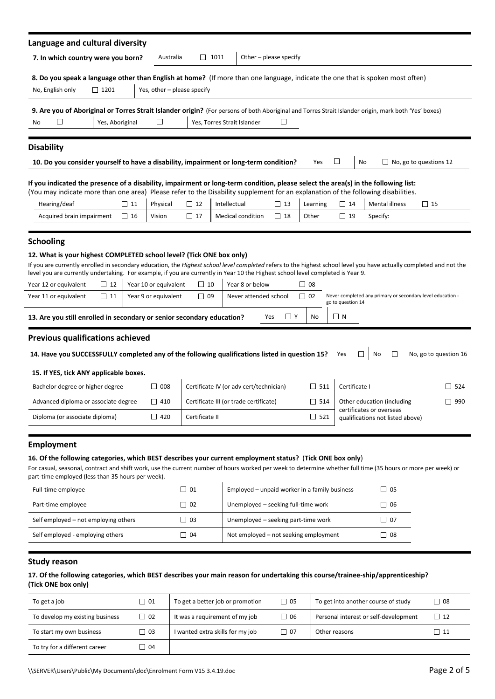| Language and cultural diversity                                                                                                                                                                                                                                                                                                                                        |                             |                |                             |                                               |           |            |                   |                                                              |                                                                                                 |
|------------------------------------------------------------------------------------------------------------------------------------------------------------------------------------------------------------------------------------------------------------------------------------------------------------------------------------------------------------------------|-----------------------------|----------------|-----------------------------|-----------------------------------------------|-----------|------------|-------------------|--------------------------------------------------------------|-------------------------------------------------------------------------------------------------|
| 7. In which country were you born?                                                                                                                                                                                                                                                                                                                                     | Australia                   | $\Box$ 1011    |                             | Other - please specify                        |           |            |                   |                                                              |                                                                                                 |
|                                                                                                                                                                                                                                                                                                                                                                        |                             |                |                             |                                               |           |            |                   |                                                              |                                                                                                 |
| 8. Do you speak a language other than English at home? (If more than one language, indicate the one that is spoken most often)                                                                                                                                                                                                                                         |                             |                |                             |                                               |           |            |                   |                                                              |                                                                                                 |
| $\Box$ 1201<br>No, English only                                                                                                                                                                                                                                                                                                                                        | Yes, other - please specify |                |                             |                                               |           |            |                   |                                                              |                                                                                                 |
| 9. Are you of Aboriginal or Torres Strait Islander origin? (For persons of both Aboriginal and Torres Strait Islander origin, mark both 'Yes' boxes)                                                                                                                                                                                                                   |                             |                |                             |                                               |           |            |                   |                                                              |                                                                                                 |
| ப<br>Yes, Aboriginal<br>No                                                                                                                                                                                                                                                                                                                                             | □                           |                | Yes, Torres Strait Islander | ப                                             |           |            |                   |                                                              |                                                                                                 |
| <b>Disability</b>                                                                                                                                                                                                                                                                                                                                                      |                             |                |                             |                                               |           |            |                   |                                                              |                                                                                                 |
|                                                                                                                                                                                                                                                                                                                                                                        |                             |                |                             |                                               |           | Yes        | ⊔                 | No                                                           |                                                                                                 |
| 10. Do you consider yourself to have a disability, impairment or long-term condition?                                                                                                                                                                                                                                                                                  |                             |                |                             |                                               |           |            |                   |                                                              | $\Box$ No, go to questions 12<br>$\Box$ 15<br>No, go to question 16<br>$\Box$ 524<br>$\Box$ 990 |
| If you indicated the presence of a disability, impairment or long-term condition, please select the area(s) in the following list:                                                                                                                                                                                                                                     |                             |                |                             |                                               |           |            |                   |                                                              |                                                                                                 |
| (You may indicate more than one area) Please refer to the Disability supplement for an explanation of the following disabilities.<br>Hearing/deaf<br>$\Box$ 11                                                                                                                                                                                                         | Physical                    | $\Box$ 12      | Intellectual                | $\Box$ 13                                     | Learning  |            | $\Box$ 14         | Mental illness                                               |                                                                                                 |
| Acquired brain impairment<br>$\Box$ 16                                                                                                                                                                                                                                                                                                                                 | Vision                      | $\Box$ 17      | Medical condition           | $\Box$ 18                                     | Other     |            | $\Box$ 19         | Specify:                                                     |                                                                                                 |
|                                                                                                                                                                                                                                                                                                                                                                        |                             |                |                             |                                               |           |            |                   |                                                              |                                                                                                 |
| <b>Schooling</b>                                                                                                                                                                                                                                                                                                                                                       |                             |                |                             |                                               |           |            |                   |                                                              |                                                                                                 |
| 12. What is your highest COMPLETED school level? (Tick ONE box only)                                                                                                                                                                                                                                                                                                   |                             |                |                             |                                               |           |            |                   |                                                              |                                                                                                 |
| If you are currently enrolled in secondary education, the Highest school level completed refers to the highest school level you have actually completed and not the                                                                                                                                                                                                    |                             |                |                             |                                               |           |            |                   |                                                              |                                                                                                 |
| level you are currently undertaking. For example, if you are currently in Year 10 the Highest school level completed is Year 9.<br>$\Box$ 12                                                                                                                                                                                                                           | Year 10 or equivalent       | $\Box$ 10      |                             | Year 8 or below                               | $\Box$ 08 |            |                   |                                                              |                                                                                                 |
| Year 12 or equivalent                                                                                                                                                                                                                                                                                                                                                  |                             |                |                             |                                               |           |            |                   |                                                              |                                                                                                 |
|                                                                                                                                                                                                                                                                                                                                                                        |                             |                |                             |                                               |           |            |                   |                                                              |                                                                                                 |
| $\Box$ 11                                                                                                                                                                                                                                                                                                                                                              | Year 9 or equivalent        | $\Box$ 09      |                             | Never attended school                         | $\Box$ 02 |            | go to question 14 | Never completed any primary or secondary level education -   |                                                                                                 |
|                                                                                                                                                                                                                                                                                                                                                                        |                             |                |                             | Yes                                           | □ Y<br>No |            | $\Box$ N          |                                                              |                                                                                                 |
|                                                                                                                                                                                                                                                                                                                                                                        |                             |                |                             |                                               |           |            |                   |                                                              |                                                                                                 |
|                                                                                                                                                                                                                                                                                                                                                                        |                             |                |                             |                                               |           |            |                   |                                                              |                                                                                                 |
| 14. Have you SUCCESSFULLY completed any of the following qualifications listed in question 15?                                                                                                                                                                                                                                                                         |                             |                |                             |                                               |           |            | Yes               | □<br>$\Box$<br>No                                            |                                                                                                 |
| 15. If YES, tick ANY applicable boxes.                                                                                                                                                                                                                                                                                                                                 |                             |                |                             |                                               |           |            |                   |                                                              |                                                                                                 |
| Bachelor degree or higher degree                                                                                                                                                                                                                                                                                                                                       | $\Box$ 008                  |                |                             | Certificate IV (or adv cert/technician)       |           | $\Box$ 511 | Certificate I     |                                                              |                                                                                                 |
| Advanced diploma or associate degree                                                                                                                                                                                                                                                                                                                                   | $\Box$ 410                  |                |                             | Certificate III (or trade certificate)        |           | $\Box$ 514 |                   | Other education (including                                   |                                                                                                 |
| Diploma (or associate diploma)                                                                                                                                                                                                                                                                                                                                         | $\Box$ 420                  | Certificate II |                             |                                               |           | $\Box$ 521 |                   | certificates or overseas<br>qualifications not listed above) |                                                                                                 |
| Year 11 or equivalent<br>13. Are you still enrolled in secondary or senior secondary education?<br>Previous qualifications achieved                                                                                                                                                                                                                                    |                             |                |                             |                                               |           |            |                   |                                                              |                                                                                                 |
| <b>Employment</b>                                                                                                                                                                                                                                                                                                                                                      |                             |                |                             |                                               |           |            |                   |                                                              |                                                                                                 |
|                                                                                                                                                                                                                                                                                                                                                                        |                             |                |                             |                                               |           |            |                   |                                                              |                                                                                                 |
|                                                                                                                                                                                                                                                                                                                                                                        |                             |                |                             |                                               |           |            |                   |                                                              |                                                                                                 |
|                                                                                                                                                                                                                                                                                                                                                                        |                             |                |                             |                                               |           |            |                   |                                                              |                                                                                                 |
| Full-time employee                                                                                                                                                                                                                                                                                                                                                     |                             | $\Box$ 01      |                             | Employed - unpaid worker in a family business |           |            |                   | $\Box$ 05                                                    |                                                                                                 |
| Part-time employee                                                                                                                                                                                                                                                                                                                                                     |                             | $\Box$ 02      |                             | Unemployed - seeking full-time work           |           |            |                   | $\Box$ 06                                                    |                                                                                                 |
| 16. Of the following categories, which BEST describes your current employment status? (Tick ONE box only)<br>For casual, seasonal, contract and shift work, use the current number of hours worked per week to determine whether full time (35 hours or more per week) or<br>part-time employed (less than 35 hours per week).<br>Self employed - not employing others |                             | $\Box$ 03      |                             | Unemployed - seeking part-time work           |           |            |                   | $\Box$ 07                                                    |                                                                                                 |

# **(Tick ONE box only)**

| To get a job                    | l 01 | To get a better job or promotion | $\Box$ 05 | To get into another course of study   | $\Box$ 08         |
|---------------------------------|------|----------------------------------|-----------|---------------------------------------|-------------------|
| To develop my existing business | 02   | It was a requirement of my job   | $\Box$ 06 | Personal interest or self-development | $\overline{1}$ 12 |
| To start my own business        | - 03 | I wanted extra skills for my job | □ 07      | Other reasons                         | $\perp$ 11        |
| To try for a different career   | 04   |                                  |           |                                       |                   |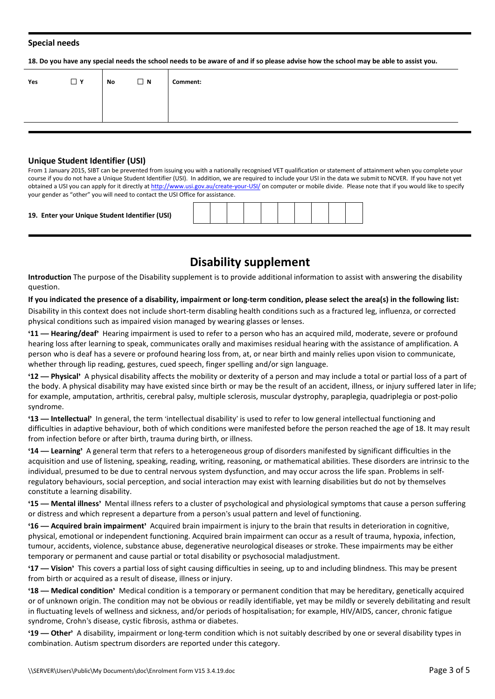#### **Special needs**

18. Do you have any special needs the school needs to be aware of and if so please advise how the school may be able to assist you.

| Yes | $\Box$ Y | No | $\Box$ N | Comment: |
|-----|----------|----|----------|----------|
|     |          |    |          |          |
|     |          |    |          |          |

#### **Unique Student Identifier (USI)**

From 1 January 2015, SIBT can be prevented from issuing you with a nationally recognised VET qualification or statement of attainment when you complete your course if you do not have a Unique Student Identifier (USI). In addition, we are required to include your USI in the data we submit to NCVER. If you have not yet<br>obtained a USI you can apply for it directly at http://www.u your gender as "other" you will need to contact the USI Office for assistance.

#### **19. Enter your Unique Student Identifier (USI)**

# **Disability supplement**

**Introduction** The purpose of the Disability supplement is to provide additional information to assist with answering the disability question.

#### If you indicated the presence of a disability, impairment or long-term condition, please select the area(s) in the following list:

Disability in this context does not include short-term disabling health conditions such as a fractured leg, influenza, or corrected physical conditions such as impaired vision managed by wearing glasses or lenses.

**'11 — Hearing/deaf'** Hearing impairment is used to referto a person who has an acquired mild, moderate, severe or profound hearing loss after learning to speak, communicates orally and maximises residual hearing with the assistance of amplification. A person who is deaf has a severe or profound hearing loss from, at, or near birth and mainly relies upon vision to communicate, whether through lip reading, gestures, cued speech, finger spelling and/or sign language.

**'12 — Physical'** A physical disability affects the mobility or dexterity of a person and may include a total or partial loss of a part of the body. A physical disability may have existed since birth or may be the result of an accident, illness, or injury suffered later in life; for example, amputation, arthritis, cerebral palsy, multiple sclerosis, muscular dystrophy, paraplegia, quadriplegia or post-polio syndrome.

**'13 — Intellectual'** In general, the term 'intellectual disability' is used to refer to low general intellectual functioning and difficulties in adaptive behaviour, both of which conditions were manifested before the person reached the age of 18. It may result from infection before or after birth, trauma during birth, or illness.

**'14 — Learning'** A general term that refers to a heterogeneous group of disorders manifested by significant difficulties in the acquisition and use of listening, speaking, reading, writing, reasoning, or mathematical abilities. These disorders are intrinsic to the individual, presumed to be due to central nervous system dysfunction, and may occur across the life span. Problems in self regulatory behaviours, social perception, and social interaction may exist with learning disabilities but do not by themselves constitute a learning disability.

**'15 — Mental illness'** Mental illness refers to a cluster of psychological and physiological symptoms that cause a person suffering or distress and which represent a departure from a person's usual pattern and level of functioning.

'16 — Acquired brain impairment' Acquired brain impairment is injury to the brain that results in deterioration in cognitive,<br>physical, emotional or independent functioning. Acquired brain impairment can occur as a result tumour, accidents, violence, substance abuse, degenerative neurological diseases or stroke. These impairments may be either temporary or permanent and cause partial or total disability or psychosocial maladjustment.

**'17 — Vision'** This covers a partial loss of sight causing difficulties in seeing, up to and including blindness. This may be present from birth or acquired as a result of disease, illness or injury.

**'18 — Medical condition'** Medical condition is a temporary or permanent condition that may be hereditary, genetically acquired or of unknown origin. The condition may not be obvious or readily identifiable, yet may be mildly or severely debilitating and result in fluctuating levels of wellness and sickness, and/or periods of hospitalisation; for example, HIV/AIDS, cancer, chronic fatigue syndrome, Crohn's disease, cystic fibrosis, asthma or diabetes.

**'19 — Other'** A disability, impairment or long-term condition which is not suitably described by one or several disability types in combination. Autism spectrum disorders are reported under this category.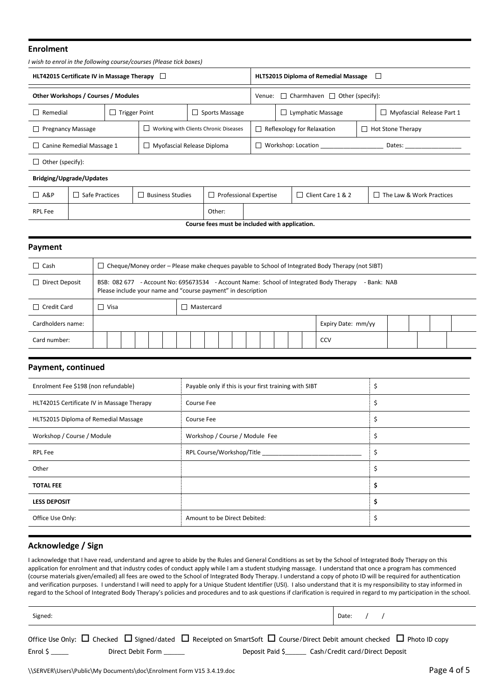#### **Enrolment**

|                                                                   |                                                           |  | I wish to enrol in the following course/courses (Please tick boxes) |                                                |                               |                               |                                              |  |                                          |  |  |
|-------------------------------------------------------------------|-----------------------------------------------------------|--|---------------------------------------------------------------------|------------------------------------------------|-------------------------------|-------------------------------|----------------------------------------------|--|------------------------------------------|--|--|
| HLT42015 Certificate IV in Massage Therapy                        |                                                           |  |                                                                     |                                                |                               |                               | HLT52015 Diploma of Remedial Massage         |  |                                          |  |  |
| Other Workshops / Courses / Modules                               |                                                           |  |                                                                     |                                                | Venue:                        |                               | $\Box$ Charmhaven $\Box$<br>Other (specify): |  |                                          |  |  |
| $\Box$ Remedial                                                   | <b>Trigger Point</b>                                      |  |                                                                     | Sports Massage                                 |                               |                               | Lymphatic Massage                            |  | Myofascial Release Part 1                |  |  |
| Working with Clients Chronic Diseases<br>$\Box$ Pregnancy Massage |                                                           |  |                                                                     |                                                |                               | Reflexology for Relaxation    |                                              |  | <b>Hot Stone Therapy</b><br>$\mathbf{L}$ |  |  |
|                                                                   | $\Box$ Canine Remedial Massage 1                          |  |                                                                     | Myofascial Release Diploma                     | Workshop: Location<br>Dates:  |                               |                                              |  |                                          |  |  |
| $\Box$ Other (specify):                                           |                                                           |  |                                                                     |                                                |                               |                               |                                              |  |                                          |  |  |
| Bridging/Upgrade/Updates                                          |                                                           |  |                                                                     |                                                |                               |                               |                                              |  |                                          |  |  |
| $\Box$ A&P                                                        | Safe Practices<br><b>Business Studies</b><br>$\mathsf{L}$ |  |                                                                     |                                                | <b>Professional Expertise</b> | $\sqsupset$ Client Care 1 & 2 |                                              |  | $\Box$ The Law & Work Practices          |  |  |
| RPL Fee                                                           |                                                           |  |                                                                     | Other:                                         |                               |                               |                                              |  |                                          |  |  |
|                                                                   |                                                           |  |                                                                     | Course fees must be included with application. |                               |                               |                                              |  |                                          |  |  |

| Payment                        |             |  |  |                                                              |  |  |  |  |                                                                                                       |  |  |
|--------------------------------|-------------|--|--|--------------------------------------------------------------|--|--|--|--|-------------------------------------------------------------------------------------------------------|--|--|
| $\Box$ Cash                    |             |  |  |                                                              |  |  |  |  | Cheque/Money order – Please make cheques payable to School of Integrated Body Therapy (not SIBT)      |  |  |
| Direct Deposit<br>$\mathbf{L}$ |             |  |  | Please include your name and "course payment" in description |  |  |  |  | BSB: 082 677 - Account No: 695673534 - Account Name: School of Integrated Body Therapy<br>- Bank: NAB |  |  |
| $\Box$ Credit Card             | $\Box$ Visa |  |  | $\Box$ Mastercard                                            |  |  |  |  |                                                                                                       |  |  |
| Cardholders name:              |             |  |  |                                                              |  |  |  |  | Expiry Date: mm/yy                                                                                    |  |  |
| Card number:                   |             |  |  |                                                              |  |  |  |  | <b>CCV</b>                                                                                            |  |  |
|                                |             |  |  |                                                              |  |  |  |  |                                                                                                       |  |  |

#### **Payment, continued**

| Enrolment Fee \$198 (non refundable)       | Payable only if this is your first training with SIBT |    |
|--------------------------------------------|-------------------------------------------------------|----|
| HLT42015 Certificate IV in Massage Therapy | Course Fee                                            | Ş  |
| HLT52015 Diploma of Remedial Massage       | Course Fee                                            | \$ |
| Workshop / Course / Module                 | Workshop / Course / Module Fee                        | \$ |
| <b>RPL Fee</b>                             | RPL Course/Workshop/Title ______________              | \$ |
| Other                                      |                                                       | \$ |
| <b>TOTAL FEE</b>                           |                                                       | \$ |
| <b>LESS DEPOSIT</b>                        |                                                       | \$ |
| Office Use Only:                           | Amount to be Direct Debited:                          | \$ |

## **Acknowledge / Sign**

I acknowledge that I have read, understand and agree to abide by the Rules and General Conditions as set by the School of Integrated Body Therapy on this application for enrolment and that industry codes of conduct apply while I am a student studying massage. I understand that once a program has commenced (course materials given/emailed) all fees are owed to the Schoolof Integrated Body Therapy.I understand a copy of photo ID will be required for authentication and verification purposes. I understand I will need to apply for a Unique Student Identifier (USI). I also understand that it is my responsibility to stay informed in regard to the School of Integrated Body Therapy's policies and procedures and to ask questions if clarification is required in regard to my participation in the school.

| Signed:  |                   |                                                                                                                                                  | Date:                           |  |
|----------|-------------------|--------------------------------------------------------------------------------------------------------------------------------------------------|---------------------------------|--|
|          |                   | Office Use Only: $\Box$ Checked $\Box$ Signed/dated $\Box$ Receipted on SmartSoft $\Box$ Course/Direct Debit amount checked $\Box$ Photo ID copy |                                 |  |
| Enrol \$ | Direct Debit Form | Deposit Paid \$                                                                                                                                  | Cash/Credit card/Direct Deposit |  |